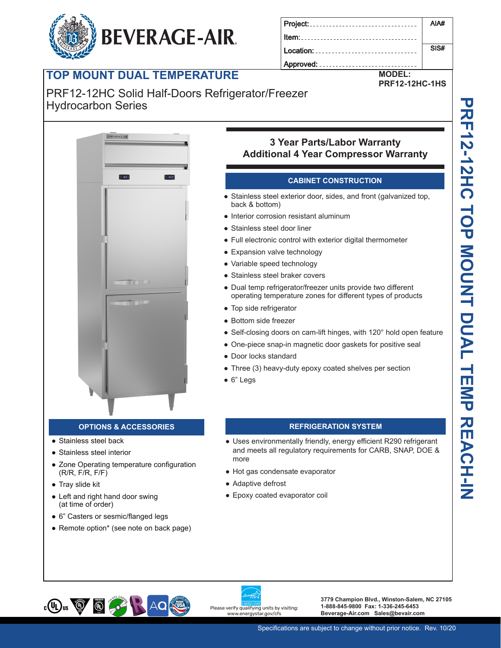# **TOP MOUNT DUAL TEMPERATURE**

#### PRF12-12HC Solid Half-Doors Refrigerator/Freezer **Built-in safety feature allow escape in case of accidental lock-in** Hydrocarbon Series

**BEVERAGE-AIR.** 



### **OPTIONS & ACCESSORIES REFRIGERATION SYSTEM**

- Stainless steel back
- Stainless steel interior
- Zone Operating temperature configuration (R/R, F/R, F/F)
- Tray slide kit
- Left and right hand door swing (at time of order)
- 6" Casters or sesmic/flanged legs
- Remote option\* (see note on back page)

# **LED indicator in the 3 Year Parts/Labor Warranty Easy-access test switch for health inspectors Additional 4 Year Compressor Warranty**

Location: ................

Approved: .........

 $Item:$ ......

#### **CABINET CONSTRUCTION**

- Stainless steel exterior door, sides, and front (galvanized top, back & bottom)
- **Build-in safety feature allow estimates of accidental lock-interior corrosion resistant aluminum** 
	- Stainless steel door liner
	- Full electronic control with exterior digital thermometer
	- Expansion valve technology
	- Variable speed technology
	- Stainless steel braker covers
	- Dual temp refrigerator/freezer units provide two different operating temperature zones for different types of products
	- Top side refrigerator
	- Bottom side freezer
	- Self-closing doors on cam-lift hinges, with 120° hold open feature
	- One-piece snap-in magnetic door gaskets for positive seal
	- Door locks standard
	- Three (3) heavy-duty epoxy coated shelves per section
	- 6" Legs

- Uses environmentally friendly, energy efficient R290 refrigerant and meets all regulatory requirements for CARB, SNAP, DOE & more
- Hot gas condensate evaporator
- Adaptive defrost
- Epoxy coated evaporator coil



**3779 Champion Blvd., Winston-Salem, NC 27105 1-888-845-9800 Fax: 1-336-245-6453 Beverage-Air.com Sales@bevair.com**

AIA#

SIS#

**MODEL: PRF12-12HC-1HS**